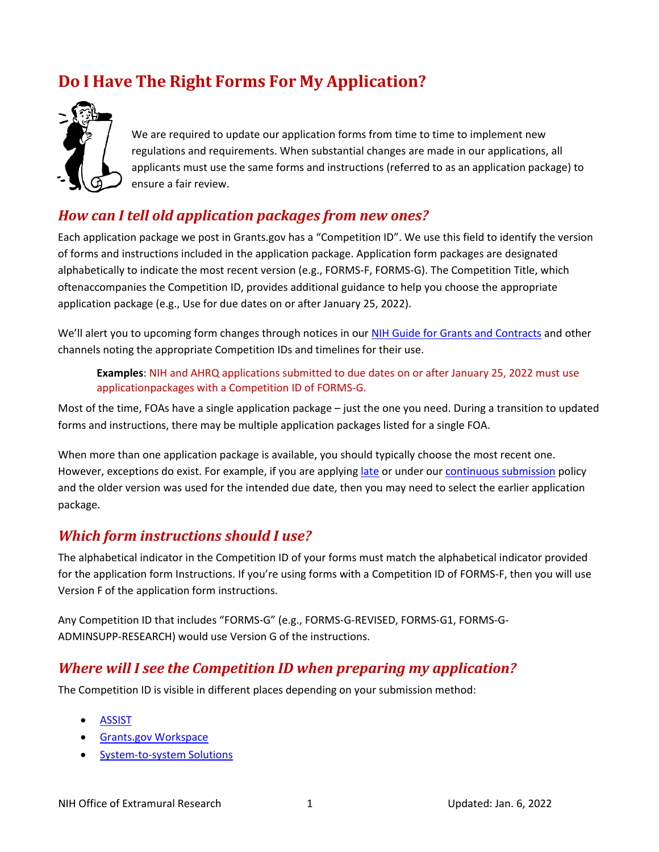# **Do I Have The Right Forms For My Application?**

<span id="page-0-0"></span>

We are required to update our application forms from time to time to implement new regulations and requirements. When substantial changes are made in our applications, all applicants must use the same forms and instructions (referred to as an application package) to ensure a fair review.

### *How can I tell old application packages from new ones?*

Each application package we post in Grants.gov has a "Competition ID". We use this field to identify the version of forms and instructions included in the application package. Application form packages are designated alphabetically to indicate the most recent version (e.g., FORMS-F, FORMS-G). The Competition Title, which oftenaccompanies the Competition ID, provides additional guidance to help you choose the appropriate application package (e.g., Use for due dates on or after January 25, 2022).

We'll alert you to upcoming form changes through notices in our [NIH Guide for Grants and Contracts](http://grants.nih.gov/grants/guide/index.html) and other channels noting the appropriate Competition IDs and timelines for their use.

**Examples**: NIH and AHRQ applications submitted to due dates on or after January 25, 2022 must use applicationpackages with a Competition ID of FORMS-G.

Most of the time, FOAs have a single application package – just the one you need. During a transition to updated forms and instructions, there may be multiple application packages listed for a single FOA.

When more than one application package is available, you should typically choose the most recent one. However, exceptions do exist. For example, if you are applying *late* or under our [continuous submission](http://grants.nih.gov/grants/peer/continuous_submission.htm) policy and the older version was used for the intended due date, then you may need to select the earlier application package.

### *Which form instructions should I use?*

The alphabetical indicator in the Competition ID of your forms must match the alphabetical indicator provided for the application form Instructions. If you're using forms with a Competition ID of FORMS-F, then you will use Version F of the application form instructions.

Any Competition ID that includes "FORMS-G" (e.g., FORMS-G-REVISED, FORMS-G1, FORMS-G-ADMINSUPP-RESEARCH) would use Version G of the instructions.

### *Where will I see the Competition ID when preparing my application?*

The Competition ID is visible in different places depending on your submission method:

- **[ASSIST](#page-0-0)**
- Grants.gov [Workspace](#page-1-0)
- [System-to-system](#page-2-0) Solutions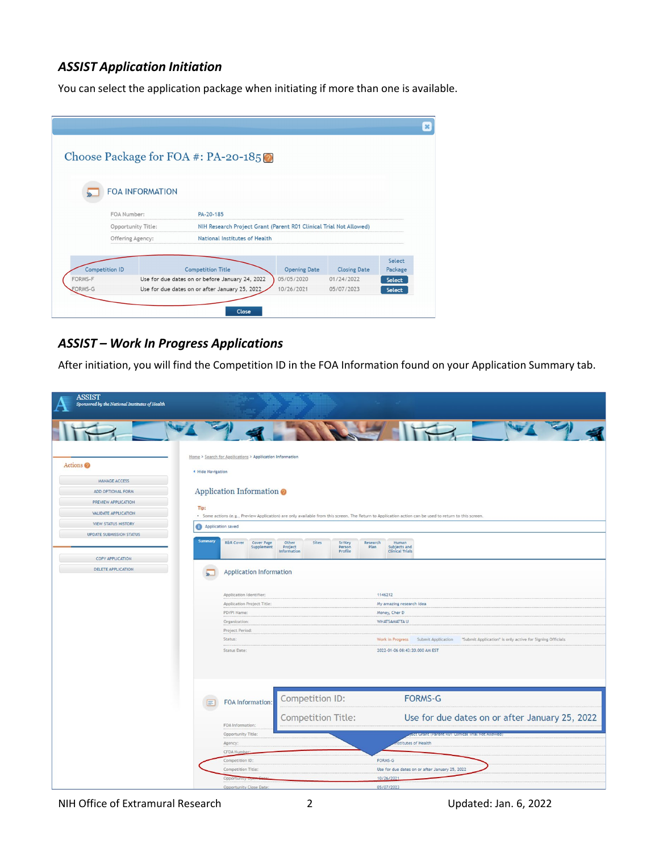#### <span id="page-1-0"></span>*ASSIST Application Initiation*

You can select the application package when initiating if more than one is available.

|                  |                       |                               | Choose Package for FOA #: PA-20-185                                |                     |                     |         |
|------------------|-----------------------|-------------------------------|--------------------------------------------------------------------|---------------------|---------------------|---------|
|                  |                       |                               |                                                                    |                     |                     |         |
|                  |                       | <b>FOA INFORMATION</b>        |                                                                    |                     |                     |         |
|                  |                       |                               |                                                                    |                     |                     |         |
|                  | FOA Number:           |                               | PA-20-185                                                          |                     |                     |         |
|                  |                       | Opportunity Title:            | NIH Research Project Grant (Parent R01 Clinical Trial Not Allowed) |                     |                     |         |
| Offering Agency: |                       | National Institutes of Health |                                                                    |                     |                     |         |
|                  |                       |                               |                                                                    |                     |                     | Select  |
|                  | <b>Competition ID</b> |                               | <b>Competition Title</b>                                           | <b>Opening Date</b> | <b>Closing Date</b> | Package |
| FORMS-F          |                       |                               | Use for due dates on or before January 24, 2022                    | 05/05/2020          | 01/24/2022          | Select  |
| FORMS-G          |                       |                               | Use for due dates on or after January 25, 2022                     | 10/26/2021          | 05/07/2023          | Select  |
|                  |                       |                               |                                                                    |                     |                     |         |
|                  |                       |                               |                                                                    |                     |                     |         |

#### *ASSIST – Work In Progress Applications*

After initiation, you will find the Competition ID in the FOA Information found on your Application Summary tab.

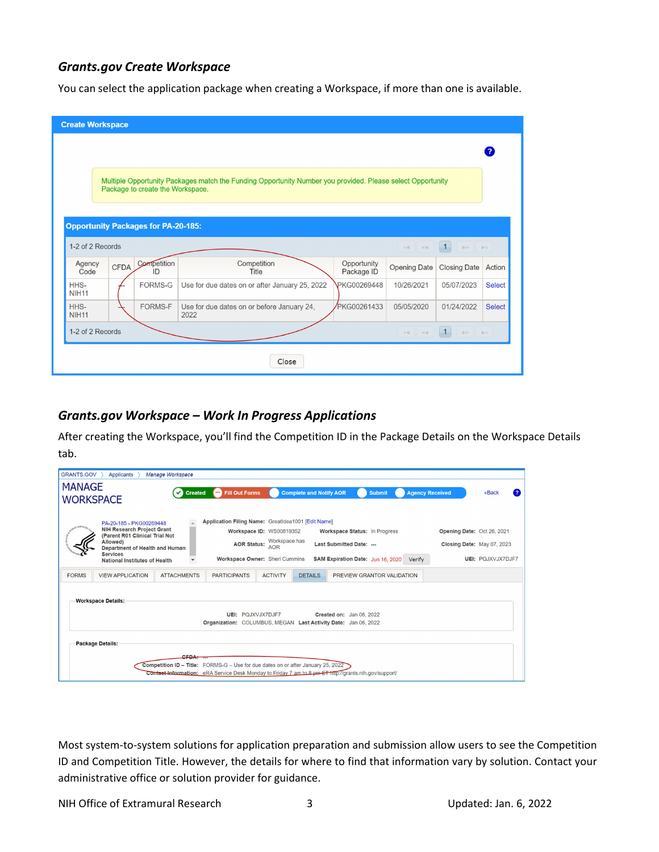#### *Grants.gov Create Workspace*

You can select the application package when creating a Workspace, if more than one is available.

|                                                                                                                                                | <b>Create Workspace</b> |                                            |                                                    |                           |                     |                                                                 |               |
|------------------------------------------------------------------------------------------------------------------------------------------------|-------------------------|--------------------------------------------|----------------------------------------------------|---------------------------|---------------------|-----------------------------------------------------------------|---------------|
|                                                                                                                                                |                         |                                            |                                                    |                           |                     |                                                                 |               |
| Multiple Opportunity Packages match the Funding Opportunity Number you provided. Please select Opportunity<br>Package to create the Workspace. |                         |                                            |                                                    |                           |                     |                                                                 |               |
|                                                                                                                                                |                         | <b>Opportunity Packages for PA-20-185:</b> |                                                    |                           |                     |                                                                 |               |
| 1-2 of 2 Records                                                                                                                               |                         |                                            |                                                    |                           | $14 - 44$           | 1<br>$\mathbb{P}\triangleright\qquad\qquad\mathbb{P}\mathbb{T}$ |               |
| Agency<br>Code                                                                                                                                 | <b>CFDA</b>             | Competition<br>ID                          | Competition<br>Title                               | Opportunity<br>Package ID | <b>Opening Date</b> | <b>Closing Date</b>                                             | Action        |
| HHS-<br><b>NIH11</b>                                                                                                                           |                         | FORMS-G                                    | Use for due dates on or after January 25, 2022     | <b>PKG00269448</b>        | 10/26/2021          | 05/07/2023                                                      | <b>Select</b> |
| HHS-<br><b>NIH11</b>                                                                                                                           |                         | <b>FORMS-F</b>                             | Use for due dates on or before January 24,<br>2022 | <b>PKG00261433</b>        | 05/05/2020          | 01/24/2022                                                      | <b>Select</b> |
| 1-2 of 2 Records<br>1<br>$\mathbb{E}[\mathbf{q}]\qquad \mathcal{L}[\mathbf{q}]\qquad$<br>B> B1                                                 |                         |                                            |                                                    |                           |                     |                                                                 |               |
|                                                                                                                                                |                         |                                            |                                                    |                           |                     |                                                                 |               |
|                                                                                                                                                |                         |                                            | Close                                              |                           |                     |                                                                 |               |

#### *Grants.gov Workspace – Work In Progress Applications*

After creating the Workspace, you'll find the Competition ID in the Package Details on the Workspace Details tab.

| <b>GRANTS.GOV</b><br><b>MANAGE</b><br><b>WORKSPACE</b> | Applicants                                                                                                                                                                                              | Manage Workspace<br><b>Created</b> | <b>Fill Out Forms</b><br>$\cdots$                                                                                                                                                                       |                                                                                         | <b>Complete and Notify AOR</b> |                                                                                                | <b>Submit</b>              | <b>Agency Received</b>     | «Back                                                  |
|--------------------------------------------------------|---------------------------------------------------------------------------------------------------------------------------------------------------------------------------------------------------------|------------------------------------|---------------------------------------------------------------------------------------------------------------------------------------------------------------------------------------------------------|-----------------------------------------------------------------------------------------|--------------------------------|------------------------------------------------------------------------------------------------|----------------------------|----------------------------|--------------------------------------------------------|
|                                                        | PA-20-185 - PKG00269448<br><b>NIH Research Project Grant</b><br>(Parent R01 Clinical Trial Not<br>Allowed)<br>Department of Health and Human<br><b>Services</b><br><b>National Institutes of Health</b> |                                    | Application Filing Name: GreatIdea1001 [Edit Name]                                                                                                                                                      | Workspace ID: WS00819352<br>AOR Status: Workspace has<br>Workspace Owner: Sheri Cummins |                                | Workspace Status: In Progress<br>Last Submitted Date: ---<br>SAM Expiration Date: Jun 16, 2020 | Verify                     | Opening Date: Oct 26, 2021 | Closing Date: May 07, 2023<br><b>UEI: POJXVJX7DJF7</b> |
| <b>FORMS</b>                                           | <b>VIEW APPLICATION</b>                                                                                                                                                                                 | <b>ATTACHMENTS</b>                 | <b>PARTICIPANTS</b>                                                                                                                                                                                     | <b>ACTIVITY</b>                                                                         | <b>DETAILS</b>                 |                                                                                                | PREVIEW GRANTOR VALIDATION |                            |                                                        |
|                                                        | <b>Workspace Details:</b><br>UEI: POJXVJX7DJF7<br>Created on: Jan 06, 2022<br>Organization: COLUMBUS, MEGAN Last Activity Date: Jan 06, 2022<br><b>Package Details:</b>                                 |                                    |                                                                                                                                                                                                         |                                                                                         |                                |                                                                                                |                            |                            |                                                        |
|                                                        |                                                                                                                                                                                                         | CEDA                               | <b>Competition ID – Title:</b> FORMS-G – Use for due dates on or after January 25, 2022<br><b>Contact Information:</b> eRA Service Desk Monday to Friday 7 am to 8 pm ET http://grants.nih.gov/support/ |                                                                                         |                                |                                                                                                |                            |                            |                                                        |

<span id="page-2-0"></span>Most system-to-system solutions for application preparation and submission allow users to see the Competition ID and Competition Title. However, the details for where to find that information vary by solution. Contact your administrative office or solution provider for guidance.

NIH Office of Extramural Research 3 3 Updated: Jan. 6, 2022